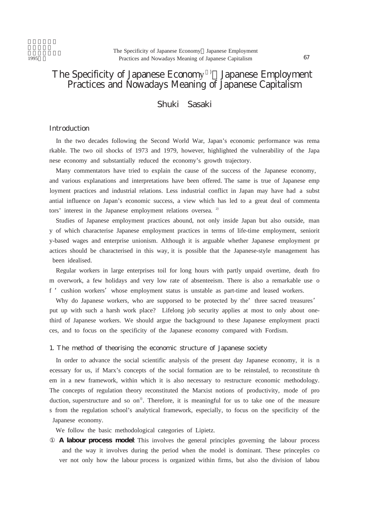# The Specificity of Japanese Economy 1 Japanese Employment Practices and Nowadays Meaning of Japanese Capitalism

# Shuki Sasaki

# **Introduction**

In the two decades following the Second World War, Japan's economic performance was rema rkable. The two oil shocks of 1973 and 1979, however, highlighted the vulnerability of the Japa nese economy and substantially reduced the economy's growth trajectory.

Many commentators have tried to explain the cause of the success of the Japanese economy, and various explanations and interpretations have been offered. The same is true of Japanese emp loyment practices and industrial relations. Less industrial conflict in Japan may have had a subst antial influence on Japan's economic success, a view which has led to a great deal of commenta tors' interest in the Japanese employment relations oversea.<sup>2)</sup>

Studies of Japanese employment practices abound, not only inside Japan but also outside, man y of which characterise Japanese employment practices in terms of life-time employment, seniorit y-based wages and enterprise unionism. Although it is arguable whether Japanese employment pr actices should be characterised in this way, it is possible that the Japanese-style management has been idealised.

Regular workers in large enterprises toil for long hours with partly unpaid overtime, death fro m overwork, a few holidays and very low rate of absenteeism. There is also a remarkable use o f 'cushion workers'whose employment status is unstable as part-time and leased workers.

Why do Japanese workers, who are supporsed to be protected by the three sacred treasures' put up with such a harsh work place? Lifelong job security applies at most to only about onethird of Japanese workers. We should argue the background to these Japanese employment practi ces, and to focus on the specificity of the Japanese economy compared with Fordism.

#### 1. The method of theorising the economic structure of Japanese society

In order to advance the social scientific analysis of the present day Japanese economy, it is n ecessary for us, if Marx's concepts of the social formation are to be reinstaled, to reconstitute th em in a new framework, within which it is also necessary to restructure economic methodology. The concepts of regulation theory reconstituted the Marxist notions of productivity, mode of pro duction, superstructure and so on<sup>3)</sup>. Therefore, it is meaningful for us to take one of the measure s from the regulation school's analytical framework, especially, to focus on the specificity of the Japanese economy.

We follow the basic methodological categories of Lipietz.

**A labour process model**: This involves the general principles governing the labour process and the way it involves during the period when the model is dominant. These princeples co ver not only how the labour process is organized within firms, but also the division of labou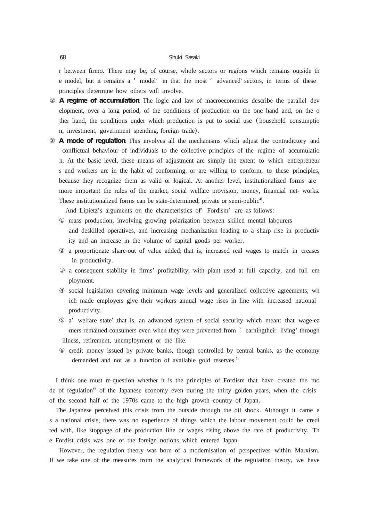#### 68 Shuki Sasaki

r between firmo. There may be, of course, whole sectors or regions which remains outside th e model, but it remains a 'model'in that the most 'advanced' sectors, in terms of these principles determine how others will involve.

**A regime of accumulation**: The logic and law of macroeconomics describe the parallel dev elopment, over a long period, of the conditions of production on the one hand and, on the o ther hand, the conditions under which production is put to social use (household consumptio n, investment, government spending, foreign trade).

**A mode of regulation**: This involves all the mechanisms which adjust the contradictory and conflictual behaviour of individuals to the collective principles of the regime of accumulatio n. At the basic level, these means of adjustment are simply the extent to which entrepreneur s and workers are in the habit of conforming, or are willing to conform, to these principles, because they recognize them as valid or logical. At another level, institutionalized forms are more important the rules of the market, social welfare provision, money, financial net- works. These institutionalized forms can be state-determined, private or semi-public<sup>4)</sup>.

And Lipietz's arguments on the characteristics of Fordism' are as follows:

mass production, involving growing polarization between skilled mental labourers

and deskilled operatives, and increasing mechanization leading to a sharp rise in productiv ity and an increase in the volume of capital goods per worker.

a proportionate share-out of value added; that is, increased real wages to match in creases in productivity.

a consequent stability in firms' profitability, with plant used at full capacity, and full em ployment.

social legislation covering minimum wage levels and generalized collective agreements, wh ich made employers give their workers annual wage rises in line with increased national productivity.

a'welfare state';that is, an advanced system of social security which meant that wage-ea rners remained consumers even when they were prevented from 'earningtheir living' through illness, retirement, unemployment or the like.

credit money issued by private banks, though controlled by central banks, as the economy demanded and not as a function of available gold reserves.<sup>5)</sup>

I think one must re-question whether it is the principles of Fordism that have created the mo de of regulation<sup> $\circ$ </sup> of the Japanese economy even during the thirty golden years, when the crisis of the second half of the 1970s came to the high growth country of Japan.

The Japanese perceived this crisis from the outside through the oil shock. Although it came a s a national crisis, there was no experience of things which the labour movement could be credi ted with, like stoppage of the production line or wages rising above the rate of productivity. Th e Fordist crisis was one of the foreign notions which entered Japan.

However, the regulation theory was born of a modernisation of perspectives within Marxism. If we take one of the measures from the analytical framework of the regulation theory, we have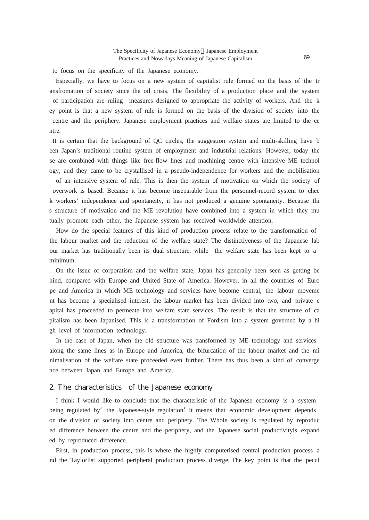to focus on the specificity of the Japanese economy.

Especially, we have to focus on a new system of capitalist rule formed on the basis of the tr ansfromation of society since the oil crisis. The flexibility of a production place and the system of participation are ruling measures designed to appropriate the activity of workers. And the k ey point is that a new system of rule is formed on the basis of the division of society into the centre and the periphery. Japanese employment practices and welfare states are limited to the ce ntre.

It is certain that the background of QC circles, the suggestion system and multi-skilling have b een Japan's traditional routine system of employment and industrial relations. However, today the se are combined with things like free-flow lines and machining centre with intensive ME technol ogy, and they came to be crystallised in a pseudo-independence for workers and the mobilisation

of an intensive system of rule. This is then the system of motivation on which the society of overwork is based. Because it has become inseparable from the personnel-record system to chec k workers' independence and spontaneity, it has not produced a genuine spontaneity. Because thi s structure of motivation and the ME revolution have combined into a system in which they mu tually promote each other, the Japanese system has received worldwide attention.

How do the special features of this kind of production process relate to the transformation of the labour market and the reduction of the welfare state? The distinctiveness of the Japanese lab our market has traditionally been its dual structure, while the welfare state has been kept to a minimum.

On the issue of corporatism and the welfare state, Japan has generally been seen as getting be hind, compared with Europe and United State of America. However, in all the countries of Euro pe and America in which ME technology and services have become central, the labour moveme nt has become a specialised interest, the labour market has been divided into two, and private c apital has proceeded to permeate into welfare state services. The result is that the structure of ca pitalism has been Japanised. This is a transformation of Fordism into a system governed by a hi gh level of information technology.

In the case of Japan, when the old structure was transformed by ME technology and services along the same lines as in Europe and America, the bifurcation of the labour market and the mi nimalisation of the welfare state proceeded even further. There has thus been a kind of converge nce between Japan and Europe and America.

#### 2. The characteristics of the Japanese economy

I think I would like to conclude that the characteristic of the Japanese economy is a system being regulated by the Japanese-style regulation'. It means that economic development depends on the division of society into centre and periphery. The Whole society is regulated by reproduc ed difference between the centre and the periphery, and the Japanese social productivityis expand ed by reproduced difference.

First, in production process, this is where the highly computerised central production process a nd the Taylorlist supported peripheral production process diverge. The key point is that the pecul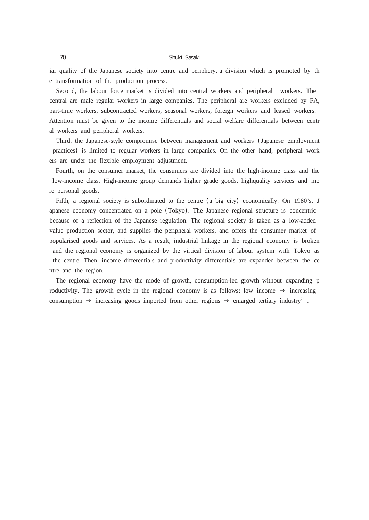#### 70 Shuki Sasaki

iar quality of the Japanese society into centre and periphery, a division which is promoted by th e transformation of the production process.

Second, the labour force market is divided into central workers and peripheral workers. The central are male regular workers in large companies. The peripheral are workers excluded by FA, part-time workers, subcontracted workers, seasonal workers, foreign workers and leased workers. Attention must be given to the income differentials and social welfare differentials between centr al workers and peripheral workers.

Third, the Japanese-style compromise between management and workers (Japanese employment practices) is limited to regular workers in large companies. On the other hand, peripheral work ers are under the flexible employment adjustment.

Fourth, on the consumer market, the consumers are divided into the high-income class and the low-income class. High-income group demands higher grade goods, highquality services and mo re personal goods.

Fifth, a regional society is subordinated to the centre (a big city) economically. On 1980's, J apanese economy concentrated on a pole (Tokyo). The Japanese regional structure is concentric because of a reflection of the Japanese regulation. The regional society is taken as a low-added value production sector, and supplies the peripheral workers, and offers the consumer market of popularised goods and services. As a result, industrial linkage in the regional economy is broken and the regional economy is organized by the virtical division of labour system with Tokyo as the centre. Then, income differentials and productivity differentials are expanded between the ce ntre and the region.

The regional economy have the mode of growth, consumption-led growth without expanding p roductivity. The growth cycle in the regional economy is as follows; low income increasing consumption increasing goods imported from other regions enlarged tertiary industry<sup>7</sup>.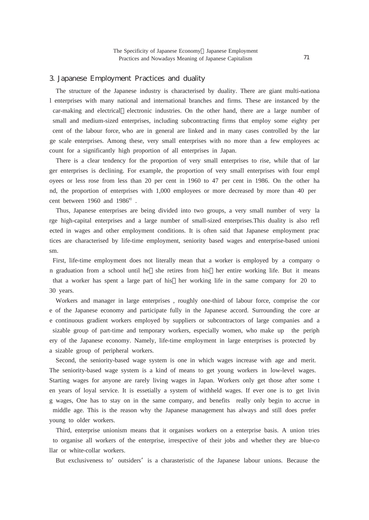### 3. Japanese Employment Practices and duality

The structure of the Japanese industry is characterised by duality. There are giant multi-nationa l enterprises with many national and international branches and firms. These are instanced by the car-making and electrical electronic industries. On the other hand, there are a large number of small and medium-sized enterprises, including subcontracting firms that employ some eighty per cent of the labour force, who are in general are linked and in many cases controlled by the lar ge scale enterprises. Among these, very small enterprises with no more than a few employees ac count for a significantly high proportion of all enterprises in Japan.

There is a clear tendency for the proportion of very small enterprises to rise, while that of lar ger enterprises is declining. For example, the proportion of very small enterprises with four empl oyees or less rose from less than 20 per cent in 1960 to 47 per cent in 1986. On the other ha nd, the proportion of enterprises with 1,000 employees or more decreased by more than 40 per cent between  $1960$  and  $1986^8$ .

Thus, Japanese enterprises are being divided into two groups, a very small number of very la rge high-capital enterprises and a large number of small-sized enterprises.This duality is also refl ected in wages and other employment conditions. It is often said that Japanese employment prac tices are characterised by life-time employment, seniority based wages and enterprise-based unioni sm.

First, life-time employment does not literally mean that a worker is employed by a company o n graduation from a school until he she retires from his her entire working life. But it means that a worker has spent a large part of his her working life in the same company for 20 to 30 years.

Workers and manager in large enterprises , roughly one-third of labour force, comprise the cor e of the Japanese economy and participate fully in the Japanese accord. Surrounding the core ar e continuous gradient workers employed by suppliers or subcontractors of large companies and a sizable group of part-time and temporary workers, especially women, who make up the periph ery of the Japanese economy. Namely, life-time employment in large enterprises is protected by a sizable group of peripheral workers.

Second, the seniority-based wage system is one in which wages increase with age and merit. The seniority-based wage system is a kind of means to get young workers in low-level wages. Starting wages for anyone are rarely living wages in Japan. Workers only get those after some t en years of loyal service. It is essetially a system of withheld wages. If ever one is to get livin g wages, One has to stay on in the same company, and benefits really only begin to accrue in middle age. This is the reason why the Japanese management has always and still does prefer young to older workers.

Third, enterprise unionism means that it organises workers on a enterprise basis. A union tries to organise all workers of the enterprise, irrespective of their jobs and whether they are blue-co llar or white-collar workers.

But exclusiveness to outsiders' is a charasteristic of the Japanese labour unions. Because the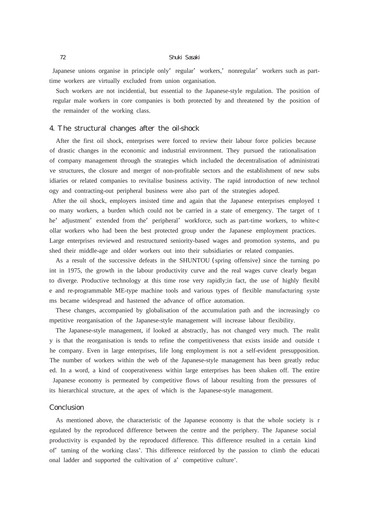#### 72 Shuki Sasaki

Japanese unions organise in principle only regular' workers, nonregular' workers such as parttime workers are virtually excluded from union organisation.

Such workers are not incidential, but essential to the Japanese-style regulation. The position of regular male workers in core companies is both protected by and threatened by the position of the remainder of the working class.

# 4. The structural changes after the oil-shock

After the first oil shock, enterprises were forced to review their labour force policies because of drastic changes in the economic and industrial environment. They pursued the rationalisation of company management through the strategies which included the decentralisation of administrati ve structures, the closure and merger of non-profitable sectors and the establishment of new subs idiaries or related companies to revitalise business activity. The rapid introduction of new technol ogy and contracting-out peripheral business were also part of the strategies adoped.

After the oil shock, employers insisted time and again that the Japanese enterprises employed t oo many workers, a burden which could not be carried in a state of emergency. The target of t he' adjustment' extended from the' peripheral' workforce, such as part-time workers, to white-c ollar workers who had been the best protected group under the Japanese employment practices. Large enterprises reviewed and restructured seniority-based wages and promotion systems, and pu shed their middle-age and older workers out into their subsidiaries or related companies.

As a result of the successive defeats in the SHUNTOU (spring offensive) since the turning po int in 1975, the growth in the labour productivity curve and the real wages curve clearly began to diverge. Productive technology at this time rose very rapidly;in fact, the use of highly flexibl e and re-programmable ME-type machine tools and various types of flexible manufacturing syste ms became widespread and hastened the advance of office automation.

These changes, accompanied by globalisation of the accumulation path and the increasingly co mpetitive reorganisation of the Japanese-style management will increase labour flexibility.

The Japanese-style management, if looked at abstractly, has not changed very much. The realit y is that the reorganisation is tends to refine the competitiveness that exists inside and outside t he company. Even in large enterprises, life long employment is not a self-evident presupposition. The number of workers within the web of the Japanese-style management has been greatly reduc ed. In a word, a kind of cooperativeness within large enterprises has been shaken off. The entire Japanese economy is permeated by competitive flows of labour resulting from the pressures of its hierarchical structure, at the apex of which is the Japanese-style management.

# **Conclusion**

As mentioned above, the characteristic of the Japanese economy is that the whole society is r egulated by the reproduced difference between the centre and the periphery. The Japanese social productivity is expanded by the reproduced difference. This difference resulted in a certain kind of'taming of the working class'. This difference reinforced by the passion to climb the educati onal ladder and supported the cultivation of a'competitive culture'.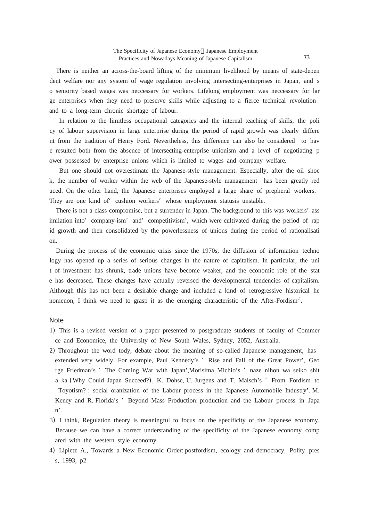There is neither an across-the-board lifting of the minimum livelihood by means of state-depen dent welfare nor any system of wage regulation involving intersecting-enterprises in Japan, and s o seniority based wages was neccessary for workers. Lifelong employment was neccessary for lar ge enterprises when they need to preserve skills while adjusting to a fierce technical revolution and to a long-term chronic shortage of labour.

In relation to the limitless occupational categories and the internal teaching of skills, the poli cy of labour supervision in large enterprise during the period of rapid growth was clearly differe nt from the tradition of Henry Ford. Nevertheless, this difference can also be considered to hav e resulted both from the absence of intersecting-enterprise unionism and a level of negotiating p ower possessed by enterprise unions which is limited to wages and company welfare.

But one should not overestimate the Japanese-style management. Especially, after the oil shoc k, the number of worker within the web of the Japanese-style management has been greatly red uced. On the other hand, the Japanese enterprises employed a large share of prepheral workers. They are one kind of'cushion workers'whose employment statusis unstable.

There is not a class compromise, but a surrender in Japan. The background to this was workers' ass imilation into company-ism' and competitivism', which were cultivated during the period of rap id growth and then consolidated by the powerlessness of unions during the period of rationalisati on.

During the process of the economic crisis since the 1970s, the diffusion of information techno logy has opened up a series of serious changes in the nature of capitalism. In particular, the uni t of investment has shrunk, trade unions have become weaker, and the economic role of the stat e has decreased. These changes have actually reversed the developmental tendencies of capitalism. Although this has not been a desirable change and included a kind of retrogressive historical he nomenon, I think we need to grasp it as the emerging characteristic of the After-Fordism<sup>9</sup>.

#### Note

- 1) This is a revised version of a paper presented to postgraduate students of faculty of Commer ce and Economice, the University of New South Wales, Sydney, 2052, Australia.
- 2) Throughout the word tody, debate about the meaning of so-called Japanese management, has extended very widely. For example, Paul Kennedy's 'Rise and Fall of the Great Power', Geo rge Friedman's 'The Coming War with Japan',Morisima Michio's 'naze nihon wa seiko shit a ka (Why Could Japan Succeed?), K. Dohse, U. Jurgens and T. Malsch's 'From Fordism to Toyotism? : social oranization of the Labour process in the Japanese Automobile Industry'. M. Keney and R. Florida's 'Beyond Mass Production: production and the Labour process in Japa n'.
- 3) I think, Regulation theory is meaningful to focus on the specificity of the Japanese economy. Because we can have a correct understanding of the specificity of the Japanese economy comp ared with the western style economy.
- 4) Lipietz A., Towards a New Economic Order: postfordism, ecology and democracy, Polity pres s, 1993, p2